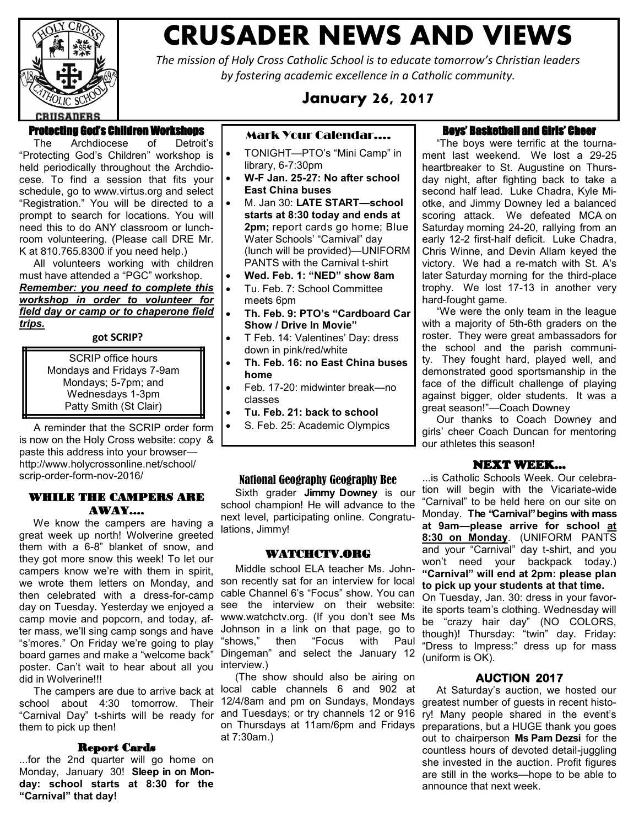

## **CRUSADER NEWS AND VIEWS**

*The mission of Holy Cross Catholic School is to educate tomorrow's Christian leaders by fostering academic excellence in a Catholic community.*

#### **January 26, 2017**

#### Protecting God's Children Workshops

 The Archdiocese of Detroit's "Protecting God's Children" workshop is held periodically throughout the Archdiocese. To find a session that fits your schedule, go to [www.virtus.org a](http://www.virtus.org/)nd select "Registration." You will be directed to a prompt to search for locations. You will need this to do ANY classroom or lunchroom volunteering. (Please call DRE Mr. K at 810.765.8300 if you need help.)

 All volunteers working with children must have attended a "PGC" workshop. *Remember: you need to complete this workshop in order to volunteer for field day or camp or to chaperone field trips.*

#### **got SCRIP?**

SCRIP office hours Mondays and Fridays 7-9am Mondays; 5-7pm; and Wednesdays 1-3pm Patty Smith (St Clair)

 A reminder that the SCRIP order form is now on the Holy Cross website: copy & paste this address into your browser http://www.holycrossonline.net/school/ scrip-order-form-nov-2016/

#### WHILE THE CAMPERS ARE AWAY….

 We know the campers are having a great week up north! Wolverine greeted them with a 6-8" blanket of snow, and they got more snow this week! To let our campers know we're with them in spirit, we wrote them letters on Monday, and then celebrated with a dress-for-camp day on Tuesday. Yesterday we enjoyed a camp movie and popcorn, and today, after mass, we'll sing camp songs and have "s'mores." On Friday we're going to play board games and make a "welcome back" poster. Can't wait to hear about all you did in Wolverine!!!

them to pick up then!

#### Report Cards

...for the 2nd quarter will go home on Monday, January 30! **Sleep in on Monday: school starts at 8:30 for the "Carnival" that day!**

#### Mark Your Calendar….

- TONIGHT—PTO's "Mini Camp" in library, 6-7:30pm
- **W-F Jan. 25-27: No after school East China buses**
- M. Jan 30: **LATE START—school starts at 8:30 today and ends at 2pm;** report cards go home; Blue Water Schools' "Carnival" day (lunch will be provided)—UNIFORM PANTS with the Carnival t-shirt
- **Wed. Feb. 1: "NED" show 8am**
- Tu. Feb. 7: School Committee meets 6pm
- **Th. Feb. 9: PTO's "Cardboard Car Show / Drive In Movie"**
- T Feb. 14: Valentines' Day: dress down in pink/red/white
- **Th. Feb. 16: no East China buses home**
- Feb. 17-20: midwinter break—no classes
- **Tu. Feb. 21: back to school**
- S. Feb. 25: Academic Olympics

#### National Geography Geography Bee

 Sixth grader **Jimmy Downey** is our school champion! He will advance to the next level, participating online. Congratulations, Jimmy!

#### WATCHCTV.ORG

 Middle school ELA teacher Ms. Johnson recently sat for an interview for local cable Channel 6's "Focus" show. You can see the interview on their website: www.watchctv.org. (If you don't see Ms Johnson in a link on that page, go to "shows," then "Focus with Paul Dingeman" and select the January 12 interview.)

 The campers are due to arrive back at local cable channels 6 and 902 at school about 4:30 tomorrow. Their 12/4/8am and pm on Sundays, Mondays "Carnival Day" t-shirts will be ready for and Tuesdays; or try channels 12 or 916 (The show should also be airing on at 7:30am.)

#### Boys' Basketball and Girls' Cheer

 "The boys were terrific at the tournament last weekend. We lost a 29-25 heartbreaker to St. Augustine on Thursday night, after fighting back to take a second half lead. Luke Chadra, Kyle Miotke, and Jimmy Downey led a balanced scoring attack. We defeated MCA on Saturday morning 24-20, rallying from an early 12-2 first-half deficit. Luke Chadra, Chris Winne, and Devin Allam keyed the victory. We had a re-match with St. A's later Saturday morning for the third-place trophy. We lost 17-13 in another very hard-fought game.

 "We were the only team in the league with a majority of 5th-6th graders on the roster. They were great ambassadors for the school and the parish community. They fought hard, played well, and demonstrated good sportsmanship in the face of the difficult challenge of playing against bigger, older students. It was a great season!"—Coach Downey

 Our thanks to Coach Downey and girls' cheer Coach Duncan for mentoring our athletes this season!

#### NEXT WEEK…

...is Catholic Schools Week. Our celebration will begin with the Vicariate-wide "Carnival" to be held here on our site on Monday. **The "Carnival" begins with mass at 9am—please arrive for school at 8:30 on Monday**. (UNIFORM PANTS and your "Carnival" day t-shirt, and you won't need your backpack today.) **"Carnival" will end at 2pm: please plan to pick up your students at that time.**

On Tuesday, Jan. 30: dress in your favorite sports team's clothing. Wednesday will be "crazy hair day" (NO COLORS, though)! Thursday: "twin" day. Friday: "Dress to Impress:" dress up for mass (uniform is OK).

#### **AUCTION 2017**

on Thursdays at 11am/6pm and Fridays preparations, but a HUGE thank you goes At Saturday's auction, we hosted our greatest number of guests in recent history! Many people shared in the event's out to chairperson **Ms Pam Dezsi** for the countless hours of devoted detail-juggling she invested in the auction. Profit figures are still in the works—hope to be able to announce that next week.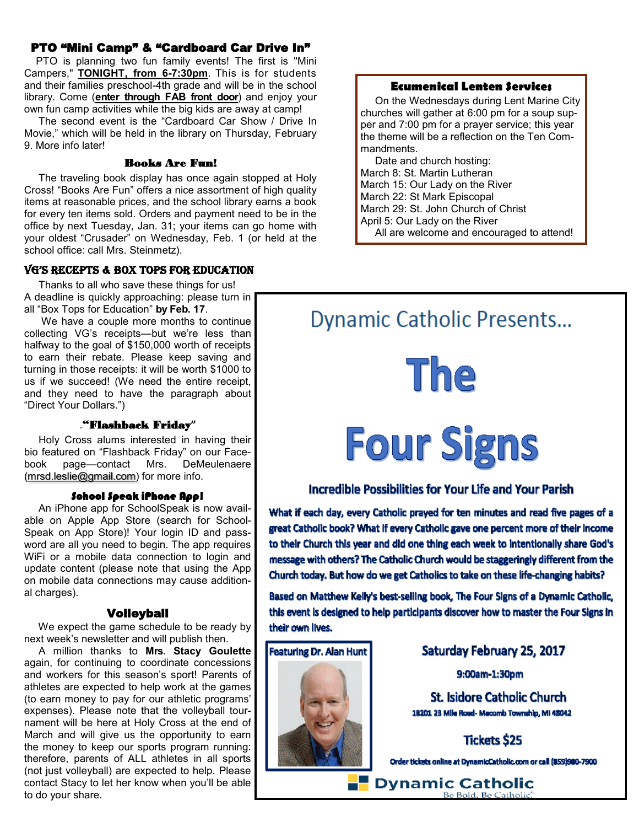#### PTO "Mini Camp" & "Cardboard Car Drive In"

 PTO is planning two fun family events! The first is "Mini Campers," **TONIGHT, from 6-7:30pm**. This is for students and their families preschool-4th grade and will be in the school library. Come (**enter through FAB front door**) and enjoy your own fun camp activities while the big kids are away at camp!

 The second event is the "Cardboard Car Show / Drive In Movie," which will be held in the library on Thursday, February 9. More info later!

#### Books Are Fun!

 The traveling book display has once again stopped at Holy Cross! "Books Are Fun" offers a nice assortment of high quality items at reasonable prices, and the school library earns a book for every ten items sold. Orders and payment need to be in the office by next Tuesday, Jan. 31; your items can go home with your oldest "Crusader" on Wednesday, Feb. 1 (or held at the school office: call Mrs. Steinmetz).

#### VG's Recepts & Box tops foR education

 Thanks to all who save these things for us! A deadline is quickly approaching: please turn in all "Box Tops for Education" **by Feb. 17**.

We have a couple more months to continue collecting VG's receipts—but we're less than halfway to the goal of \$150,000 worth of receipts to earn their rebate. Please keep saving and turning in those receipts: it will be worth \$1000 to us if we succeed! (We need the entire receipt, and they need to have the paragraph about "Direct Your Dollars.")

#### ."Flashback Friday**"**

 Holy Cross alums interested in having their bio featured on "Flashback Friday" on our Facebook page—contact Mrs. DeMeulenaere [\(mrsd.leslie@gmail.com\)](mailto:mrsd.leslie@gmail.com) for more info.

#### School Speak iPhone App!

 An iPhone app for SchoolSpeak is now available on Apple App Store (search for School-Speak on App Store)! Your login ID and password are all you need to begin. The app requires WiFi or a mobile data connection to login and update content (please note that using the App on mobile data connections may cause additional charges).

#### Volleyball

 We expect the game schedule to be ready by next week's newsletter and will publish then.

 A million thanks to **Mrs**. **Stacy Goulette** again, for continuing to coordinate concessions and workers for this season's sport! Parents of athletes are expected to help work at the games (to earn money to pay for our athletic programs' expenses). Please note that the volleyball tournament will be here at Holy Cross at the end of March and will give us the opportunity to earn the money to keep our sports program running: therefore, parents of ALL athletes in all sports (not just volleyball) are expected to help. Please contact Stacy to let her know when you'll be able to do your share.

#### **Ecumenical Lenten Services**

 On the Wednesdays during Lent Marine City churches will gather at 6:00 pm for a soup supper and 7:00 pm for a prayer service; this year the theme will be a reflection on the Ten Commandments.

 Date and church hosting: March 8: St. Martin Lutheran March 15: Our Lady on the River March 22: St Mark Episcopal March 29: St. John Church of Christ April 5: Our Lady on the River All are welcome and encouraged to attend!

### **Dynamic Catholic Presents...**

The

# **Four Signs**

#### **Incredible Possibilities for Your Life and Your Parish**

What if each day, every Catholic prayed for ten minutes and read five pages of a great Catholic book? What if every Catholic gave one percent more of their income to their Church this year and did one thing each week to intentionally share God's message with others? The Catholic Church would be staggeringly different from the Church today. But how do we get Catholics to take on these life-changing habits?

Based on Matthew Kelly's best-selling book, The Four Signs of a Dynamic Catholic, this event is designed to help participants discover how to master the Four Signs in their own lives.

#### **Featuring Dr. Alan Hunt**



#### Saturday February 25, 2017

9:00am-1:30pm

**St. Isidore Catholic Church** 18201 23 Mile Road- Macomb Township, MI 48042

**Tickets \$25** 

Order tickets online at DynamicCatholic.com or call (859)980-7900

Dynamic Catholic Be Bold, Be Catholic